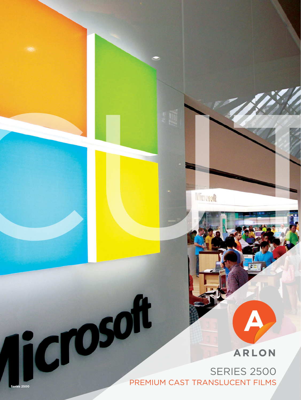# **SERIES 2500 SERIES 2500**

**ARLON** 

CUT CUT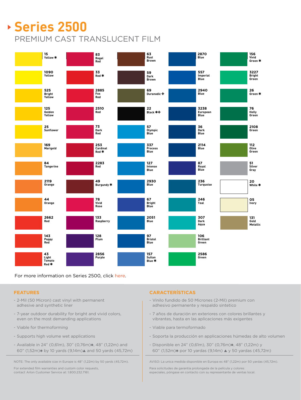# **Series 2500** PREMIUM CAST TRANSLUCENT FILM



For more information on Series 2500, click [here](https://www.arlon.com/na_en/products/series-2500).

### **FEATURES**

- 2-Mil (50 Micron) cast vinyl with permanent adhesive and synthetic liner
- 7-year outdoor durability for bright and vivid colors, even on the most demanding applications
- Viable for thermoforming
- Supports high volume wet applications
- $-$  Available in 24" (0,61m), 30" (0,76m) $\ast$ , 48" (1,22m) and 60" (1,52m) $*$  by 10 yards (9,14m) $\triangle$  and 50 yards (45,72m)

NOTE: The only available size in Europe is 48" (1,22m) by 50 yards (45,72m).

For extended film warranties and custom color requests, contact Arlon Customer Service at: 1.800.232.7161.

## **CARACTERÍSTICAS**

- Vinilo fundido de 50 Micrones (2-Mil) premium con adhesivo permanente y respaldo sintetico
- 7 años de duración en exteriores con colores brillantes y vibrantes, hasta en las aplicaciones más exigentes
- Viable para termoformado
- Soporta la producción en applicaciones húmedas de alto volumen
- Disponible en 24" (0,61m), 30" (0,76m)\*, 48" (1,22m) y 60" (1,52m) $*$  por 10 yardas (9,14m)  $\triangle$  y 50 yardas (45,72m)

AVISO: La unica medida disponible en Europa es 48" (1,22m) por 50 yardas (45,72m).

Para solicitudes de garantía prolongada de la película y colores especiales, póngase en contacto con su representante de ventas local.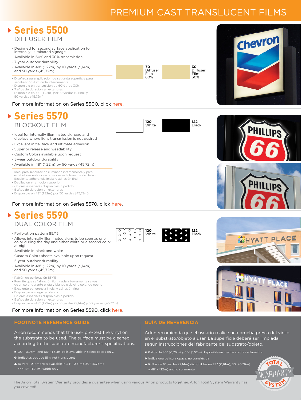## PREMIUM CAST TRANSLUCENT FILMS

según instrucciones del fabricante del substrato/objeto. \* Rollos de 30" (0,76m) y 60" (1,52m) disponible en ciertos colores solamente.

OL

 $\triangle$  Rollos de 10 yardas (9,14m) disponibles en 24" (0,61m), 30" (0,76m)

\* Indica una película opaca, no translúcida

y 48" (1,22m) ancho solamente



the substrate to be used. The surface must be cleaned according to the substrate manufacturer's specifications.

- \* 30" (0,76m) and 60" (1,52m) rolls available in select colors only.
- Indicates opaque film, not translucent
- $\triangle$  10 yard (9,14m) rolls available in 24" (0,61m), 30" (0,76m) and 48" (1,22m) width only

#### The Arlon Total System Warranty provides a guarantee when using various Arlon products together. Arlon Total System Warranty has you covered!